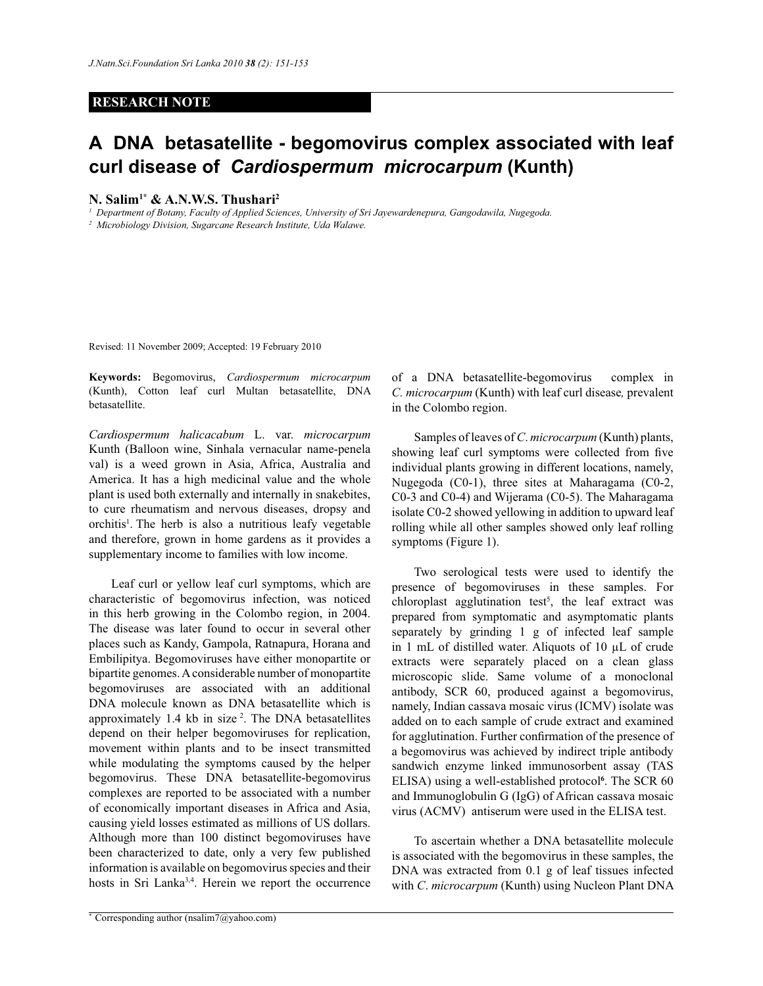## **RESEARCH NOTE**

# **A DNA betasatellite - begomovirus complex associated with leaf curl disease of** *Cardiospermum**microcarpum* **(Kunth)**

### **N. Salim1\* & A.N.W.S. Thushari<sup>2</sup>**

*<sup>1</sup>Department of Botany, Faculty of Applied Sciences, University of Sri Jayewardenepura, Gangodawila, Nugegoda.*

*<sup>2</sup>Microbiology Division, Sugarcane Research Institute, Uda Walawe.*

Revised: 11 November 2009; Accepted: 19 February 2010

**Keywords:** Begomovirus, *Cardiospermum microcarpum* (Kunth), Cotton leaf curl Multan betasatellite, DNA betasatellite.

*Cardiospermum halicacabum* L. var. *microcarpum* Kunth (Balloon wine, Sinhala vernacular name-penela val) is a weed grown in Asia, Africa, Australia and America. It has a high medicinal value and the whole plant is used both externally and internally in snakebites, to cure rheumatism and nervous diseases, dropsy and orchitis<sup>1</sup>. The herb is also a nutritious leafy vegetable and therefore, grown in home gardens as it provides a supplementary income to families with low income.

 Leaf curl or yellow leaf curl symptoms, which are characteristic of begomovirus infection, was noticed in this herb growing in the Colombo region, in 2004. The disease was later found to occur in several other places such as Kandy, Gampola, Ratnapura, Horana and Embilipitya. Begomoviruses have either monopartite or bipartite genomes. A considerable number of monopartite begomoviruses are associated with an additional DNA molecule known as DNA betasatellite which is approximately 1.4 kb in size <sup>2</sup> . The DNA betasatellites depend on their helper begomoviruses for replication, movement within plants and to be insect transmitted while modulating the symptoms caused by the helper begomovirus. These DNA betasatellite-begomovirus complexes are reported to be associated with a number of economically important diseases in Africa and Asia, causing yield losses estimated as millions of US dollars. Although more than 100 distinct begomoviruses have been characterized to date, only a very few published information is available on begomovirus species and their hosts in Sri Lanka3,4 . Herein we report the occurrence of a DNA betasatellite-begomovirus complex in *C. microcarpum* (Kunth) with leaf curl disease*,* prevalent in the Colombo region.

 Samples of leaves of *C*. *microcarpum* (Kunth) plants, showing leaf curl symptoms were collected from five individual plants growing in different locations, namely, Nugegoda (C0-1), three sites at Maharagama (C0-2, C0-3 and C0-4) and Wijerama (C0-5). The Maharagama isolate C0-2 showed yellowing in addition to upward leaf rolling while all other samples showed only leaf rolling symptoms (Figure 1).

 Two serological tests were used to identify the presence of begomoviruses in these samples. For chloroplast agglutination test<sup>5</sup>, the leaf extract was prepared from symptomatic and asymptomatic plants separately by grinding 1 g of infected leaf sample in 1 mL of distilled water. Aliquots of 10 µL of crude extracts were separately placed on a clean glass microscopic slide. Same volume of a monoclonal antibody, SCR 60, produced against a begomovirus, namely, Indian cassava mosaic virus (ICMV) isolate was added on to each sample of crude extract and examined for agglutination. Further confirmation of the presence of a begomovirus was achieved by indirect triple antibody sandwich enzyme linked immunosorbent assay (TAS ELISA) using a well-established protocol**<sup>6</sup>** . The SCR 60 and Immunoglobulin G (IgG) of African cassava mosaic virus (ACMV)antiserum were used in the ELISA test.

 To ascertain whether a DNA betasatellite molecule is associated with the begomovirus in these samples, the DNA was extracted from 0.1 g of leaf tissues infected with *C*. *microcarpum* (Kunth) using Nucleon Plant DNA

<sup>\*</sup> Corresponding author (nsalim7@yahoo.com)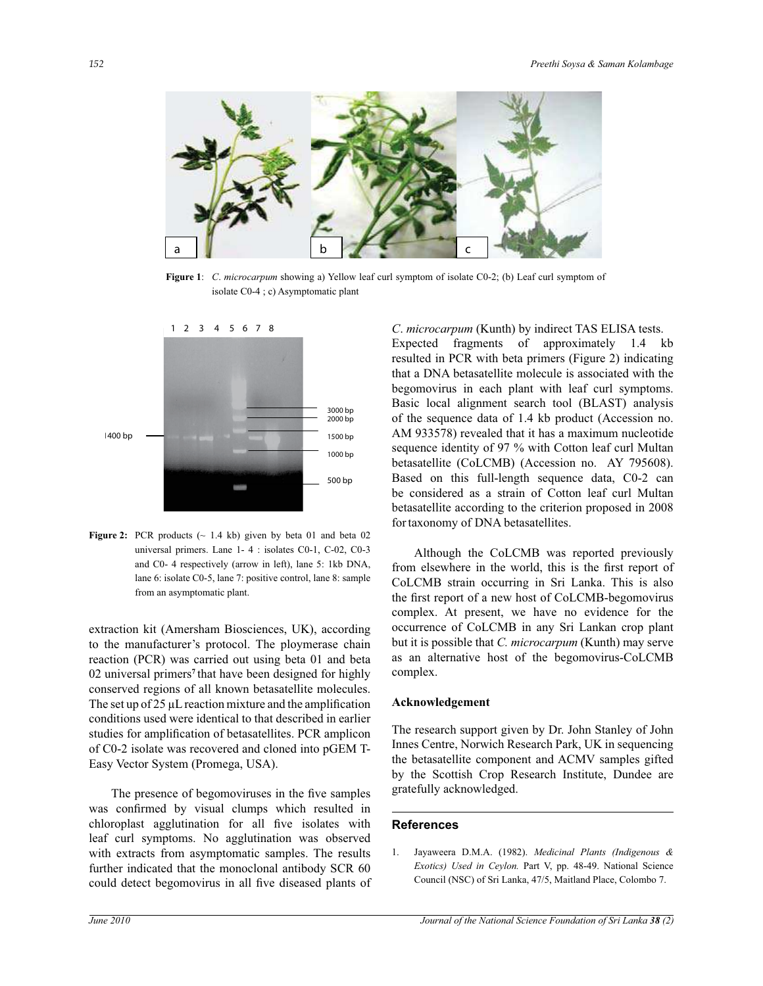

**Figure 1**: *C*. *microcarpum* showing a) Yellow leaf curl symptom of isolate C0-2; (b) Leaf curl symptom of isolate C0-4 ; c) Asymptomatic plant



**Figure 2:** PCR products ( $\sim$  1.4 kb) given by beta 01 and beta 02 universal primers. Lane 1- 4 : isolates C0-1, C-02, C0-3 and C0- 4 respectively (arrow in left), lane 5: 1kb DNA, lane 6: isolate C0-5, lane 7: positive control, lane 8: sample from an asymptomatic plant.

extraction kit (Amersham Biosciences, UK), according to the manufacturer's protocol. The ploymerase chain reaction (PCR) was carried out using beta 01 and beta 02 universal primers**<sup>7</sup>**that have been designed for highly conserved regions of all known betasatellite molecules. The set up of 25 µL reaction mixture and the amplification conditions used were identical to that described in earlier studies for amplification of betasatellites. PCR amplicon of C0-2 isolate was recovered and cloned into pGEM T-Easy Vector System (Promega, USA).

 The presence of begomoviruses in the five samples was confirmed by visual clumps which resulted in chloroplast agglutination for all five isolates with leaf curl symptoms. No agglutination was observed with extracts from asymptomatic samples. The results further indicated that the monoclonal antibody SCR 60 could detect begomovirus in all five diseased plants of *C*. *microcarpum* (Kunth) by indirect TAS ELISA tests. Expected fragments of approximately 1.4 kb resulted in PCR with beta primers (Figure 2) indicating that a DNA betasatellite molecule is associated with the begomovirus in each plant with leaf curl symptoms. Basic local alignment search tool (BLAST) analysis of the sequence data of 1.4 kb product (Accession no. AM 933578) revealed that it has a maximum nucleotide sequence identity of 97 % with Cotton leaf curl Multan betasatellite (CoLCMB) (Accession no. AY 795608). Based on this full-length sequence data, C0-2 can be considered as a strain of Cotton leaf curl Multan betasatellite according to the criterion proposed in 2008 fortaxonomy of DNA betasatellites.

 Although the CoLCMB was reported previously from elsewhere in the world, this is the first report of CoLCMB strain occurring in Sri Lanka. This is also the first report of a new host of CoLCMB-begomovirus complex. At present, we have no evidence for the occurrence of CoLCMB in any Sri Lankan crop plant but it is possible that *C. microcarpum* (Kunth) may serve as an alternative host of the begomovirus-CoLCMB complex.

#### **Acknowledgement**

The research support given by Dr. John Stanley of John Innes Centre, Norwich Research Park, UK in sequencing the betasatellite component and ACMV samples gifted by the Scottish Crop Research Institute, Dundee are gratefully acknowledged.

## **References**

1. Jayaweera D.M.A. (1982). *Medicinal Plants (Indigenous & Exotics) Used in Ceylon.* Part V, pp. 48-49. National Science Council (NSC) of Sri Lanka, 47/5, Maitland Place, Colombo 7.